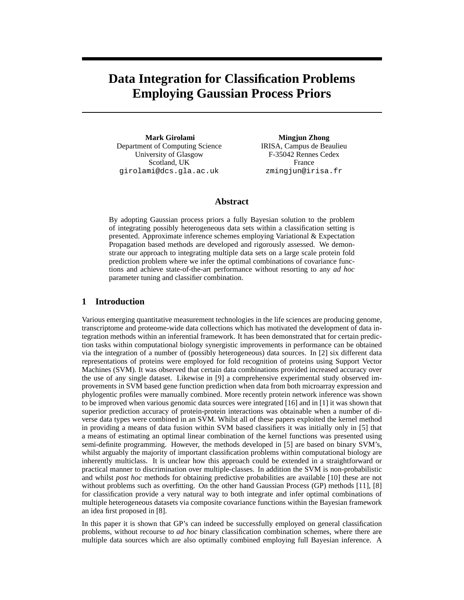# **Data Integration for Classification Problems Employing Gaussian Process Priors**

**Mark Girolami** Department of Computing Science University of Glasgow Scotland, UK girolami@dcs.gla.ac.uk

**Mingjun Zhong** IRISA, Campus de Beaulieu F-35042 Rennes Cedex France zmingjun@irisa.fr

## **Abstract**

By adopting Gaussian process priors a fully Bayesian solution to the problem of integrating possibly heterogeneous data sets within a classification setting is presented. Approximate inference schemes employing Variational & Expectation Propagation based methods are developed and rigorously assessed. We demonstrate our approach to integrating multiple data sets on a large scale protein fold prediction problem where we infer the optimal combinations of covariance functions and achieve state-of-the-art performance without resorting to any *ad hoc* parameter tuning and classifier combination.

## **1 Introduction**

Various emerging quantitative measurement technologies in the life sciences are producing genome, transcriptome and proteome-wide data collections which has motivated the development of data integration methods within an inferential framework. It has been demonstrated that for certain prediction tasks within computational biology synergistic improvements in performance can be obtained via the integration of a number of (possibly heterogeneous) data sources. In [2] six different data representations of proteins were employed for fold recognition of proteins using Support Vector Machines (SVM). It was observed that certain data combinations provided increased accuracy over the use of any single dataset. Likewise in [9] a comprehensive experimental study observed improvements in SVM based gene function prediction when data from both microarray expression and phylogentic profiles were manually combined. More recently protein network inference was shown to be improved when various genomic data sources were integrated [16] and in [1] it was shown that superior prediction accuracy of protein-protein interactions was obtainable when a number of diverse data types were combined in an SVM. Whilst all of these papers exploited the kernel method in providing a means of data fusion within SVM based classifiers it was initially only in [5] that a means of estimating an optimal linear combination of the kernel functions was presented using semi-definite programming. However, the methods developed in [5] are based on binary SVM's, whilst arguably the majority of important classification problems within computational biology are inherently multiclass. It is unclear how this approach could be extended in a straightforward or practical manner to discrimination over multiple-classes. In addition the SVM is non-probabilistic and whilst *post hoc* methods for obtaining predictive probabilities are available [10] these are not without problems such as overfitting. On the other hand Gaussian Process (GP) methods [11], [8] for classification provide a very natural way to both integrate and infer optimal combinations of multiple heterogeneous datasets via composite covariance functions within the Bayesian framework an idea first proposed in [8].

In this paper it is shown that GP's can indeed be successfully employed on general classification problems, without recourse to *ad hoc* binary classification combination schemes, where there are multiple data sources which are also optimally combined employing full Bayesian inference. A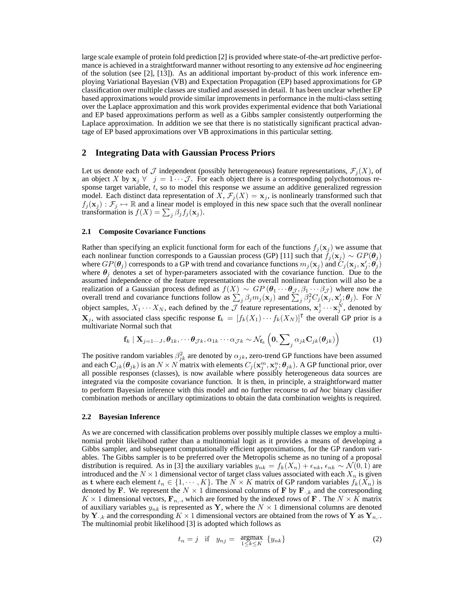large scale example of protein fold prediction [2] is provided where state-of-the-art predictive performance is achieved in a straightforward manner without resorting to any extensive *ad hoc* engineering of the solution (see [2], [13]). As an additional important by-product of this work inference employing Variational Bayesian (VB) and Expectation Propagation (EP) based approximations for GP classification over multiple classes are studied and assessed in detail. It has been unclear whether EP based approximations would provide similar improvements in performance in the multi-class setting over the Laplace approximation and this work provides experimental evidence that both Variational and EP based approximations perform as well as a Gibbs sampler consistently outperforming the Laplace approximation. In addition we see that there is no statistically significant practical advantage of EP based approximations over VB approximations in this particular setting.

# **2 Integrating Data with Gaussian Process Priors**

Let us denote each of  $\mathcal J$  independent (possibly heterogeneous) feature representations,  $\mathcal F_j(X)$ , of an object X by  $x_j \forall j = 1 \cdots \mathcal{J}$ . For each object there is a corresponding polychotomous response target variable,  $t$ , so to model this response we assume an additive generalized regression model. Each distinct data representation of X,  $\mathcal{F}_j(X) = \mathbf{x}_j$ , is nonlinearly transformed such that  $f_j(\mathbf{x}_j) : \mathcal{F}_j \mapsto \mathbb{R}$  and a linear model is employed in this new space such that the overall nonlinear transformation is  $f(X) = \sum_j \beta_j f_j(\mathbf{x}_j)$ .

#### **2.1 Composite Covariance Functions**

Rather than specifying an explicit functional form for each of the functions  $f_j(\mathbf{x}_j)$  we assume that each nonlinear function corresponds to a Gaussian process (GP) [11] such that  $f_j(\mathbf{x}_j) \sim GP(\theta_j)$ where  $GP(\theta_j)$  corresponds to a GP with trend and covariance functions  $m_j(\mathbf{x}_j)$  and  $\check{C}_j(\mathbf{x}_j, \mathbf{x}'_j; \theta_j)$ where  $\theta_i$  denotes a set of hyper-parameters associated with the covariance function. Due to the assumed independence of the feature representations the overall nonlinear function will also be a realization of a Gaussian process defined as  $f(X) \sim GP(\theta_1 \cdots \theta_{J}, \beta_1 \cdots \beta_{J})$  where now the overall trend and covariance functions follow as  $\sum_j \beta_j m_j(\mathbf{x}_j)$  and  $\sum_j \beta_j^2 C_j(\mathbf{x}_j, \mathbf{x}_j'; \boldsymbol{\theta}_j)$ . For N object samples,  $X_1 \cdots X_N$ , each defined by the  $\mathcal J$  feature representations,  $\mathbf x_j^1 \cdots \mathbf x_j^N$ , denoted by  $\mathbf{X}_j$ , with associated class specific response  $\mathbf{f}_k = [f_k(X_1) \cdots f_k(X_N)]^{\mathsf{T}}$  the overall GP prior is a multivariate Normal such that

$$
\mathbf{f}_k \mid \mathbf{X}_{j=1\cdots J}, \boldsymbol{\theta}_{1k}, \cdots \boldsymbol{\theta}_{\mathcal{J}k}, \alpha_{1k} \cdots \alpha_{\mathcal{J}k} \sim \mathcal{N}_{\mathbf{f}_k} \left( \mathbf{0}, \sum_j \alpha_{jk} \mathbf{C}_{jk} (\boldsymbol{\theta}_{jk}) \right)
$$
(1)

The positive random variables  $\beta_{jk}^2$  are denoted by  $\alpha_{jk}$ , zero-trend GP functions have been assumed and each  $C_{jk}(\theta_{jk})$  is an  $N \times N$  matrix with elements  $C_j(\mathbf{x}_j^m, \mathbf{x}_j^n; \theta_{jk})$ . A GP functional prior, over all possible responses (classes), is now available where possibly heterogeneous data sources are integrated via the composite covariance function. It is then, in principle, a straightforward matter to perform Bayesian inference with this model and no further recourse to *ad hoc* binary classifier combination methods or ancillary optimizations to obtain the data combination weights is required.

#### **2.2 Bayesian Inference**

As we are concerned with classification problems over possibly multiple classes we employ a multinomial probit likelihood rather than a multinomial logit as it provides a means of developing a Gibbs sampler, and subsequent computationally efficient approximations, for the GP random variables. The Gibbs sampler is to be preferred over the Metropolis scheme as no tuning of a proposal distribution is required. As in [3] the auxiliary variables  $y_{nk} = f_k(X_n) + \epsilon_{nk}$ ,  $\epsilon_{nk} \sim \mathcal{N}(0, 1)$  are introduced and the  $N \times 1$  dimensional vector of target class values associated with each  $X_n$  is given as t where each element  $t_n \in \{1, \dots, K\}$ . The  $N \times K$  matrix of GP random variables  $f_k(X_n)$  is denoted by F. We represent the  $N \times 1$  dimensional columns of F by F<sub> $\cdot,k$ </sub> and the corresponding  $K \times 1$  dimensional vectors,  $\mathbf{F}_{n,1}$ , which are formed by the indexed rows of **F**. The  $N \times K$  matrix of auxiliary variables  $y_{nk}$  is represented as Y, where the  $N \times 1$  dimensional columns are denoted by  $Y_{+,k}$  and the corresponding  $K \times 1$  dimensional vectors are obtained from the rows of Y as  $Y_{n,..}$ The multinomial probit likelihood [3] is adopted which follows as

$$
t_n = j \quad \text{if} \quad y_{nj} = \underset{1 \le k \le K}{\text{argmax}} \ \{y_{nk}\} \tag{2}
$$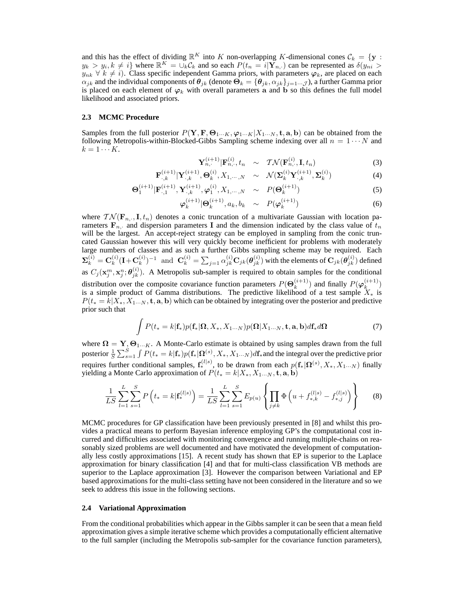and this has the effect of dividing  $\mathbb{R}^K$  into K non-overlapping K-dimensional cones  $\mathcal{C}_k = \{ \mathbf{y} :$  $y_k > y_i, k \neq i$  where  $\mathbb{R}^K = \bigcup_k C_k$  and so each  $P(t_n = i | \mathbf{Y}_{n, \cdot})$  can be represented as  $\delta(y_{ni} > i)$  $y_{nk} \forall k \neq i$ ). Class specific independent Gamma priors, with parameters  $\varphi_k$ , are placed on each  $\alpha_{jk}$  and the individual components of  $\theta_{jk}$  (denote  $\Theta_k = {\theta_{jk}, \alpha_{jk}}_{j=1}...j$ ), a further Gamma prior is placed on each element of  $\varphi_k$  with overall parameters a and b so this defines the full model likelihood and associated priors.

#### **2.3 MCMC Procedure**

Samples from the full posterior  $P(Y, F, \Theta_{1\cdots K}, \varphi_{1\cdots K}|X_{1\cdots N}, t, a, b)$  can be obtained from the following Metropolis-within-Blocked-Gibbs Sampling scheme indexing over all  $n = 1 \cdots N$  and  $k = 1 \cdots K$ .

$$
\mathbf{Y}_{n,\cdot}^{(i+1)} | \mathbf{F}_{n,\cdot}^{(i)}, t_n \quad \sim \quad \mathcal{TN}(\mathbf{F}_{n,\cdot}^{(i)}, \mathbf{I}, t_n) \tag{3}
$$

$$
\mathbf{F}_{\cdot,k}^{(i+1)} | \mathbf{Y}_{\cdot,k}^{(i+1)}, \Theta_k^{(i)}, X_{1,\cdots,N} \sim \mathcal{N}(\mathbf{\Sigma}_k^{(i)} \mathbf{Y}_{\cdot,k}^{(i+1)}, \mathbf{\Sigma}_k^{(i)})
$$
(4)

$$
\mathbf{\Theta}_{1}^{(i+1)} | \mathbf{F}_{\cdot,1}^{(i+1)}, \mathbf{Y}_{\cdot,k}^{(i+1)}, \varphi_{1}^{(i)}, X_{1,\cdots,N} \sim P(\mathbf{\Theta}_{k}^{(i+1)})
$$
(5)

$$
\varphi_k^{(i+1)} | \Theta_k^{(i+1)}, a_k, b_k \sim P(\varphi_k^{(i+1)}) \tag{6}
$$

where  $\mathcal{TN}(\mathbf{F}_{n,\cdot}, \mathbf{I}, t_n)$  denotes a conic truncation of a multivariate Gaussian with location parameters  $\mathbf{F}_{n}$ , and dispersion parameters I and the dimension indicated by the class value of  $t_n$ will be the largest. An accept-reject strategy can be employed in sampling from the conic truncated Gaussian however this will very quickly become inefficient for problems with moderately large numbers of classes and as such a further Gibbs sampling scheme may be required. Each  $\mathbf{\Sigma}_k^{(i)} = \mathbf{C}_k^{(i)}$  $\mathbf{L}_k^{(i)}(\mathbf{I}+\mathbf{C}_k^{(i)})$  $(\mathbf{k}^{(i)})^{-1}$  and  $\mathbf{C}_k^{(i)} = \sum_{j=1} \alpha_{jk}^{(i)} \mathbf{C}_{jk}(\boldsymbol{\theta}_{jk}^{(i)})$  with the elements of  $\mathbf{C}_{jk}(\boldsymbol{\theta}_{jk}^{(i)})$  defined as  $C_j(\mathbf{x}_j^m,\mathbf{x}_j^n;\boldsymbol{\theta}_{jk}^{(i)})$ . A Metropolis sub-sampler is required to obtain samples for the conditional distribution over the composite covariance function parameters  $P(\Theta_k^{(i+1)})$  $\binom{(i+1)}{k}$  and finally  $P(\varphi_k^{(i+1)})$  $\binom{i+1}{k}$ is a simple product of Gamma distributions. The predictive likelihood of a test sample  $X_*$  is  $P(t_{*} = k | X_{*}, X_{1\cdots N}, \mathbf{t}, \mathbf{a}, \mathbf{b})$  which can be obtained by integrating over the posterior and predictive prior such that

$$
\int P(t_{*}=k|\mathbf{f}_{*})p(\mathbf{f}_{*}|\mathbf{\Omega},X_{*},X_{1\cdots N})p(\mathbf{\Omega}|X_{1\cdots N},\mathbf{t},\mathbf{a},\mathbf{b})d\mathbf{f}_{*}d\mathbf{\Omega}
$$
\n(7)

where  $\mathbf{\Omega} = \mathbf{Y}, \mathbf{\Theta}_{1\cdots K}$ . A Monte-Carlo estimate is obtained by using samples drawn from the full posterior  $\frac{1}{S}\sum_{s=1}^{S}\int P(t_*=k|\mathbf{f}_*)p(\mathbf{f}_*|\mathbf{\Omega}^{(s)},X_*,X_{1\cdots N})d\mathbf{f}_*$  and the integral over the predictive prior requires further conditional samples,  $f_*^{(l|s)}$ , to be drawn from each  $p(f_*|\Omega^{(s)}, X_*, X_{1\cdots N})$  finally yielding a Monte Carlo approximation of  $P(t_{*} = k | X_*, X_{1 \cdots N}, \mathbf{t}, \mathbf{a}, \mathbf{b})$ 

$$
\frac{1}{LS} \sum_{l=1}^{L} \sum_{s=1}^{S} P\left(t_{*} = k | \mathbf{f}_{*}^{(l|s)}\right) = \frac{1}{LS} \sum_{l=1}^{L} \sum_{s=1}^{S} E_{p(u)} \left\{ \prod_{j \neq k} \Phi\left(u + f_{*,k}^{(l|s)} - f_{*,j}^{(l|s)}\right) \right\} \tag{8}
$$

MCMC procedures for GP classification have been previously presented in [8] and whilst this provides a practical means to perform Bayesian inference employing GP's the computational cost incurred and difficulties associated with monitoring convergence and running multiple-chains on reasonably sized problems are well documented and have motivated the development of computationally less costly approximations [15]. A recent study has shown that EP is superior to the Laplace approximation for binary classification [4] and that for multi-class classification VB methods are superior to the Laplace approximation [3]. However the comparison between Variational and EP based approximations for the multi-class setting have not been considered in the literature and so we seek to address this issue in the following sections.

#### **2.4 Variational Approximation**

From the conditional probabilities which appear in the Gibbs sampler it can be seen that a mean field approximation gives a simple iterative scheme which provides a computationally efficient alternative to the full sampler (including the Metropolis sub-sampler for the covariance function parameters),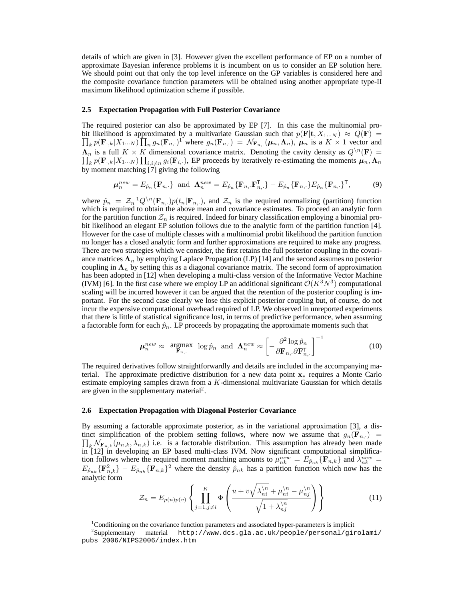details of which are given in [3]. However given the excellent performance of EP on a number of approximate Bayesian inference problems it is incumbent on us to consider an EP solution here. We should point out that only the top level inference on the GP variables is considered here and the composite covariance function parameters will be obtained using another appropriate type-II maximum likelihood optimization scheme if possible.

#### **2.5 Expectation Propagation with Full Posterior Covariance**

The required posterior can also be approximated by EP [7]. In this case the multinomial probit likelihood is approximated by a multivariate Gaussian such that  $p(\mathbf{F}|\mathbf{t}, X_{1\cdots N}) \approx Q(\mathbf{F}) =$  $\prod_k p(\mathbf{F}_{\cdot,k}|X_{1\cdots N}) \prod_n g_n(\mathbf{F}_{n,\cdot})^1$  where  $g_n(\mathbf{F}_{n,\cdot}) = \mathcal{N}_{\mathbf{F}_{n,\cdot}}(\boldsymbol{\mu}_n,\boldsymbol{\Lambda}_n)$ ,  $\boldsymbol{\mu}_n$  is a  $K \times 1$  vector and  $\Lambda_n$  is a full  $K \times K$  dimensional covariance matrix. Denoting the cavity density as  $Q^{\setminus n}(\mathbf{F}) =$  $\prod_k p(\mathbf{F}_{\cdot,k}|X_{1\cdots N}) \prod_{i,i\neq n} g_i(\mathbf{F}_{i,\cdot})$ , EP proceeds by iteratively re-estimating the moments  $\mu_n, \Lambda_n$ by moment matching [7] giving the following

$$
\boldsymbol{\mu}_n^{new} = E_{\hat{p}_n} \{ \mathbf{F}_{n, \cdot} \} \text{ and } \boldsymbol{\Lambda}_n^{new} = E_{\hat{p}_n} \{ \mathbf{F}_{n, \cdot} \mathbf{F}_{n, \cdot}^\mathsf{T} \} - E_{\hat{p}_n} \{ \mathbf{F}_{n, \cdot} \} E_{\hat{p}_n} \{ \mathbf{F}_{n, \cdot} \}^\mathsf{T}, \tag{9}
$$

where  $\hat{p}_n = \mathcal{Z}_n^{-1} Q^{\setminus n}(\mathbf{F}_{n,\cdot}) p(t_n | \mathbf{F}_{n,\cdot})$ , and  $\mathcal{Z}_n$  is the required normalizing (partition) function which is required to obtain the above mean and covariance estimates. To proceed an analytic form for the partition function  $\mathcal{Z}_n$  is required. Indeed for binary classification employing a binomial probit likelihood an elegant EP solution follows due to the analytic form of the partition function [4]. However for the case of multiple classes with a multinomial probit likelihood the partition function no longer has a closed analytic form and further approximations are required to make any progress. There are two strategies which we consider, the first retains the full posterior coupling in the covariance matrices  $\Lambda_n$  by employing Laplace Propagation (LP) [14] and the second assumes no posterior coupling in  $\Lambda_n$  by setting this as a diagonal covariance matrix. The second form of approximation has been adopted in [12] when developing a multi-class version of the Informative Vector Machine (IVM) [6]. In the first case where we employ LP an additional significant  $\mathcal{O}(K^3N^3)$  computational scaling will be incurred however it can be argued that the retention of the posterior coupling is important. For the second case clearly we lose this explicit posterior coupling but, of course, do not incur the expensive computational overhead required of LP. We observed in unreported experiments that there is little of statistical significance lost, in terms of predictive performance, when assuming a factorable form for each  $\hat{p}_n$ . LP proceeds by propagating the approximate moments such that

$$
\mu_n^{new} \approx \underset{\mathbf{F}_n, \, \cdot}{\text{argmax}} \log \hat{p}_n \text{ and } \Lambda_n^{new} \approx \left[ -\frac{\partial^2 \log \hat{p}_n}{\partial \mathbf{F}_n, \partial \mathbf{F}_n^{\mathsf{T}}}, \right]^{-1} \tag{10}
$$

The required derivatives follow straightforwardly and details are included in the accompanying material. The approximate predictive distribution for a new data point  $x_*$  requires a Monte Carlo estimate employing samples drawn from a K-dimensional multivariate Gaussian for which details are given in the supplementary material<sup>2</sup>.

#### **2.6 Expectation Propagation with Diagonal Posterior Covariance**

By assuming a factorable approximate posterior, as in the variational approximation [3], a distinct simplification of the problem setting follows, where now we assume that  $g_n(\mathbf{F}_{n,+})$  =  $\prod_k \mathcal{N}_{\mathbf{F}_{n,k}}(\mu_{n,k}, \lambda_{n,k})$  i.e. is a factorable distribution. This assumption has already been made in [12] in developing an EP based multi-class IVM. Now significant computational simplification follows where the required moment matching amounts to  $\mu_{nk}^{new} = E_{\hat{p}_{nk}} \{ \mathbf{F}_{n,k} \}$  and  $\lambda_{nk}^{new} =$  $E_{\hat{p}_{nk}}\{\mathbf{F}_{n,k}^2\} - E_{\hat{p}_{nk}}\{\mathbf{F}_{n,k}\}^2$  where the density  $\hat{p}_{nk}$  has a partition function which now has the analytic form

$$
\mathcal{Z}_n = E_{p(u)p(v)} \left\{ \prod_{j=1, j \neq i}^K \Phi \left( \frac{u + v \sqrt{\lambda_{ni}^{\backslash n}} + \mu_{ni}^{\backslash n} - \mu_{nj}^{\backslash n}}{\sqrt{1 + \lambda_{nj}^{\backslash n}}} \right) \right\}
$$
(11)

 $1$ Conditioning on the covariance function parameters and associated hyper-parameters is implicit

<sup>2</sup> Supplementary material http://www.dcs.gla.ac.uk/people/personal/girolami/ pubs\_2006/NIPS2006/index.htm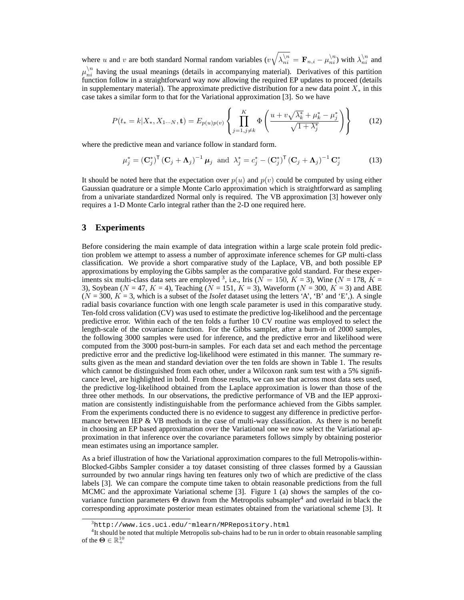where u and v are both standard Normal random variables  $(v\sqrt{\lambda_{ni}^{n}} = \mathbf{F}_{n,i} - \mu_{ni}^{n})$  with  $\lambda_{ni}^{n}$  and  $\mu_{ni}^{\setminus n}$  having the usual meanings (details in accompanying material). Derivatives of this partition function follow in a straightforward way now allowing the required EP updates to proceed (details in supplementary material). The approximate predictive distribution for a new data point  $X_*$  in this case takes a similar form to that for the Variational approximation [3]. So we have

$$
P(t_{*} = k | X_{*}, X_{1\cdots N}, \mathbf{t}) = E_{p(u)p(v)} \left\{ \prod_{j=1, j \neq k}^{K} \Phi \left( \frac{u + v \sqrt{\lambda_{k}^{*}} + \mu_{k}^{*} - \mu_{j}^{*}}{\sqrt{1 + \lambda_{j}^{*}}} \right) \right\}
$$
(12)

where the predictive mean and variance follow in standard form.

$$
\mu_j^* = \left(\mathbf{C}_j^*\right)^{\mathsf{T}} \left(\mathbf{C}_j + \mathbf{\Lambda}_j\right)^{-1} \boldsymbol{\mu}_j \text{ and } \lambda_j^* = c_j^* - \left(\mathbf{C}_j^*\right)^{\mathsf{T}} \left(\mathbf{C}_j + \mathbf{\Lambda}_j\right)^{-1} \mathbf{C}_j^* \tag{13}
$$

It should be noted here that the expectation over  $p(u)$  and  $p(v)$  could be computed by using either Gaussian quadrature or a simple Monte Carlo approximation which is straightforward as sampling from a univariate standardized Normal only is required. The VB approximation [3] however only requires a 1-D Monte Carlo integral rather than the 2-D one required here.

## **3 Experiments**

Before considering the main example of data integration within a large scale protein fold prediction problem we attempt to assess a number of approximate inference schemes for GP multi-class classification. We provide a short comparative study of the Laplace, VB, and both possible EP approximations by employing the Gibbs sampler as the comparative gold standard. For these experiments six multi-class data sets are employed <sup>3</sup>, i.e., Iris ( $N = 150$ ,  $K = 3$ ), Wine ( $N = 178$ ,  $K =$ 3), Soybean ( $N = 47, K = 4$ ), Teaching ( $N = 151, K = 3$ ), Waveform ( $N = 300, K = 3$ ) and ABE  $(N = 300, K = 3$ , which is a subset of the *Isolet* dataset using the letters 'A', 'B' and 'E',). A single radial basis covariance function with one length scale parameter is used in this comparative study. Ten-fold cross validation (CV) was used to estimate the predictive log-likelihood and the percentage predictive error. Within each of the ten folds a further 10 CV routine was employed to select the length-scale of the covariance function. For the Gibbs sampler, after a burn-in of 2000 samples, the following 3000 samples were used for inference, and the predictive error and likelihood were computed from the 3000 post-burn-in samples. For each data set and each method the percentage predictive error and the predictive log-likelihood were estimated in this manner. The summary results given as the mean and standard deviation over the ten folds are shown in Table 1. The results which cannot be distinguished from each other, under a Wilcoxon rank sum test with a 5% significance level, are highlighted in bold. From those results, we can see that across most data sets used, the predictive log-likelihood obtained from the Laplace approximation is lower than those of the three other methods. In our observations, the predictive performance of VB and the IEP approximation are consistently indistinguishable from the performance achieved from the Gibbs sampler. From the experiments conducted there is no evidence to suggest any difference in predictive performance between IEP  $\&$  VB methods in the case of multi-way classification. As there is no benefit in choosing an EP based approximation over the Variational one we now select the Variational approximation in that inference over the covariance parameters follows simply by obtaining posterior mean estimates using an importance sampler.

As a brief illustration of how the Variational approximation compares to the full Metropolis-within-Blocked-Gibbs Sampler consider a toy dataset consisting of three classes formed by a Gaussian surrounded by two annular rings having ten features only two of which are predictive of the class labels [3]. We can compare the compute time taken to obtain reasonable predictions from the full MCMC and the approximate Variational scheme [3]. Figure 1 (a) shows the samples of the covariance function parameters  $\Theta$  drawn from the Metropolis subsampler<sup>4</sup> and overlaid in black the corresponding approximate posterior mean estimates obtained from the variational scheme [3]. It

 $3$ http://www.ics.uci.edu/~mlearn/MPRepository.html

<sup>&</sup>lt;sup>4</sup>It should be noted that multiple Metropolis sub-chains had to be run in order to obtain reasonable sampling of the  $\mathbf{\Theta} \in \mathbb{R}^{10}_+$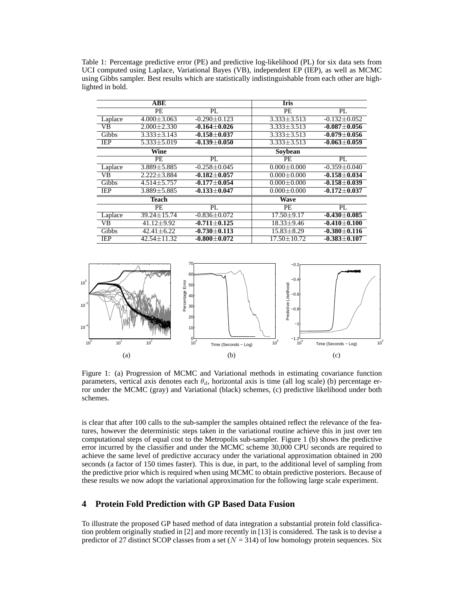Table 1: Percentage predictive error (PE) and predictive log-likelihood (PL) for six data sets from UCI computed using Laplace, Variational Bayes (VB), independent EP (IEP), as well as MCMC using Gibbs sampler. Best results which are statistically indistinguishable from each other are highlighted in bold.

|                 | <b>ABE</b>        |                    | <b>Iris</b>       |                    |
|-----------------|-------------------|--------------------|-------------------|--------------------|
|                 | PE                | PL                 | PЕ                | $\overline{PL}$    |
| Laplace         | $4.000 \pm 3.063$ | $-0.290 \pm 0.123$ | $3.333 \pm 3.513$ | $-0.132 \pm 0.052$ |
| $\overline{VB}$ | $2.000 \pm 2.330$ | $-0.164\pm0.026$   | $3.333 \pm 3.513$ | $-0.087 + 0.056$   |
| Gibbs           | $3.333 + 3.143$   | $-0.158 + 0.037$   | $3.333 + 3.513$   | $-0.079 + 0.056$   |
| IEP             | $5.333 \pm 5.019$ | $-0.139\pm0.050$   | $3.333 \pm 3.513$ | $-0.063 \pm 0.059$ |
|                 | Wine              |                    | Soybean           |                    |
|                 | PE                | PL                 | PЕ                | PL                 |
| Laplace         | $3.889 \pm 5.885$ | $-0.258 \pm 0.045$ | $0.000 \pm 0.000$ | $-0.359 \pm 0.040$ |
| <b>VB</b>       | $2.222 + 3.884$   | $-0.182 + 0.057$   | $0.000 \pm 0.000$ | $-0.158 \pm 0.034$ |
| Gibbs           | $4.514 \pm 5.757$ | $-0.177 \pm 0.054$ | $0.000 \pm 0.000$ | $-0.158 \pm 0.039$ |
| <b>IEP</b>      | $3.889 \pm 5.885$ | $-0.133 \pm 0.047$ | $0.000 \pm 0.000$ | $-0.172 \pm 0.037$ |
|                 | <b>Teach</b>      |                    | <b>Wave</b>       |                    |
|                 | PE                | PL.                | <b>PE</b>         | PL                 |
| Laplace         | 39.24±15.74       | $-0.836 \pm 0.072$ | $17.50 \pm 9.17$  | $-0.430\pm0.085$   |
| VB              | $41.12 \pm 9.92$  | $-0.711 + 0.125$   | $18.33 \pm 9.46$  | $-0.410\pm0.100$   |
| Gibbs           | $42.41 \pm 6.22$  | $-0.730 \pm 0.113$ | $15.83 \pm 8.29$  | $-0.380 \pm 0.116$ |
| IEP             | $42.54 + 11.32$   | $-0.800 \pm 0.072$ | $17.50 \pm 10.72$ | $-0.383 \pm 0.107$ |



Figure 1: (a) Progression of MCMC and Variational methods in estimating covariance function parameters, vertical axis denotes each  $\theta_d$ , horizontal axis is time (all log scale) (b) percentage error under the MCMC (gray) and Variational (black) schemes, (c) predictive likelihood under both schemes.

is clear that after 100 calls to the sub-sampler the samples obtained reflect the relevance of the features, however the deterministic steps taken in the variational routine achieve this in just over ten computational steps of equal cost to the Metropolis sub-sampler. Figure 1 (b) shows the predictive error incurred by the classifier and under the MCMC scheme 30,000 CPU seconds are required to achieve the same level of predictive accuracy under the variational approximation obtained in 200 seconds (a factor of 150 times faster). This is due, in part, to the additional level of sampling from the predictive prior which is required when using MCMC to obtain predictive posteriors. Because of these results we now adopt the variational approximation for the following large scale experiment.

# **4 Protein Fold Prediction with GP Based Data Fusion**

To illustrate the proposed GP based method of data integration a substantial protein fold classification problem originally studied in [2] and more recently in [13] is considered. The task is to devise a predictor of 27 distinct SCOP classes from a set  $(N = 314)$  of low homology protein sequences. Six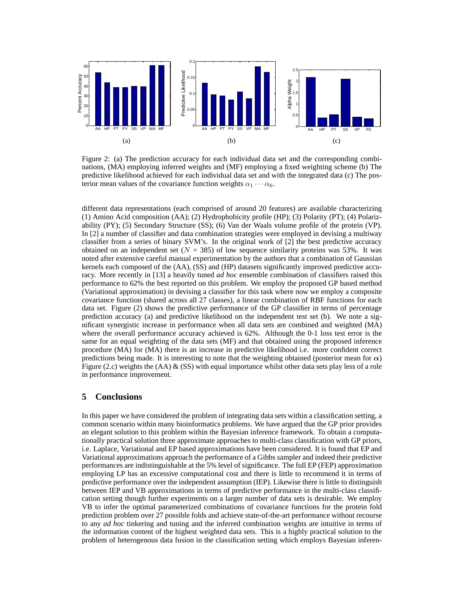

Figure 2: (a) The prediction accuracy for each individual data set and the corresponding combinations, (MA) employing inferred weights and (MF) employing a fixed weighting scheme (b) The predictive likelihood achieved for each individual data set and with the integrated data (c) The posterior mean values of the covariance function weights  $\alpha_1 \cdots \alpha_6$ .

different data representations (each comprised of around 20 features) are available characterizing (1) Amino Acid composition (AA); (2) Hydrophobicity profile (HP); (3) Polarity (PT); (4) Polarizability (PY); (5) Secondary Structure (SS); (6) Van der Waals volume profile of the protein (VP). In [2] a number of classifier and data combination strategies were employed in devising a multiway classifier from a series of binary SVM's. In the original work of [2] the best predictive accuracy obtained on an independent set ( $N = 385$ ) of low sequence similarity proteins was 53%. It was noted after extensive careful manual experimentation by the authors that a combination of Gaussian kernels each composed of the (AA), (SS) and (HP) datasets significantly improved predictive accuracy. More recently in [13] a heavily tuned *ad hoc* ensemble combination of classifiers raised this performance to 62% the best reported on this problem. We employ the proposed GP based method (Variational approximation) in devising a classifier for this task where now we employ a composite covariance function (shared across all 27 classes), a linear combination of RBF functions for each data set. Figure (2) shows the predictive performance of the GP classifier in terms of percentage prediction accuracy (a) and predictive likelihood on the independent test set (b). We note a significant synergistic increase in performance when all data sets are combined and weighted (MA) where the overall performance accuracy achieved is 62%. Although the 0-1 loss test error is the same for an equal weighting of the data sets (MF) and that obtained using the proposed inference procedure (MA) for (MA) there is an increase in predictive likelihood i.e. more confident correct predictions being made. It is interesting to note that the weighting obtained (posterior mean for  $\alpha$ ) Figure (2.c) weights the (AA)  $\&$  (SS) with equal importance whilst other data sets play less of a role in performance improvement.

# **5 Conclusions**

In this paper we have considered the problem of integrating data sets within a classification setting, a common scenario within many bioinformatics problems. We have argued that the GP prior provides an elegant solution to this problem within the Bayesian inference framework. To obtain a computationally practical solution three approximate approaches to multi-class classification with GP priors, i.e. Laplace, Variational and EP based approximations have been considered. It is found that EP and Variational approximations approach the performance of a Gibbs sampler and indeed their predictive performances are indistinguishable at the 5% level of significance. The full EP (FEP) approximation employing LP has an excessive computational cost and there is little to recommend it in terms of predictive performance over the independent assumption (IEP). Likewise there is little to distinguish between IEP and VB approximations in terms of predictive performance in the multi-class classification setting though further experiments on a larger number of data sets is desirable. We employ VB to infer the optimal parameterized combinations of covariance functions for the protein fold prediction problem over 27 possible folds and achieve state-of-the-art performance without recourse to any *ad hoc* tinkering and tuning and the inferred combination weights are intuitive in terms of the information content of the highest weighted data sets. This is a highly practical solution to the problem of heterogenous data fusion in the classification setting which employs Bayesian inferen